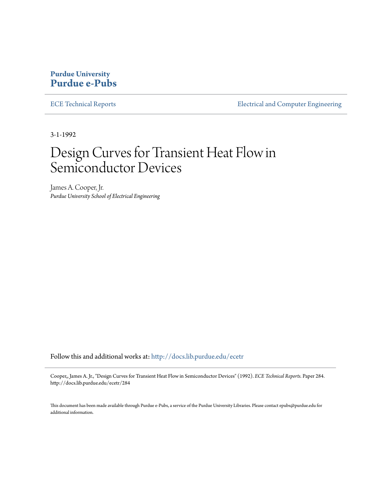#### **Purdue University [Purdue e-Pubs](http://docs.lib.purdue.edu?utm_source=docs.lib.purdue.edu%2Fecetr%2F284&utm_medium=PDF&utm_campaign=PDFCoverPages)**

[ECE Technical Reports](http://docs.lib.purdue.edu/ecetr?utm_source=docs.lib.purdue.edu%2Fecetr%2F284&utm_medium=PDF&utm_campaign=PDFCoverPages) **ELECTE ELECTE ENGINEER** ELECTE ENGINEERING ELECTE ENGINEERING ELECTE ENGINEERING ENGINEERING

3-1-1992

# Design Curves for Transient Heat Flow in Semiconductor Devices

James A. Cooper, Jr. *Purdue University School of Electrical Engineering*

Follow this and additional works at: [http://docs.lib.purdue.edu/ecetr](http://docs.lib.purdue.edu/ecetr?utm_source=docs.lib.purdue.edu%2Fecetr%2F284&utm_medium=PDF&utm_campaign=PDFCoverPages)

Cooper,, James A. Jr., "Design Curves for Transient Heat Flow in Semiconductor Devices" (1992). *ECE Technical Reports.* Paper 284. http://docs.lib.purdue.edu/ecetr/284

This document has been made available through Purdue e-Pubs, a service of the Purdue University Libraries. Please contact epubs@purdue.edu for additional information.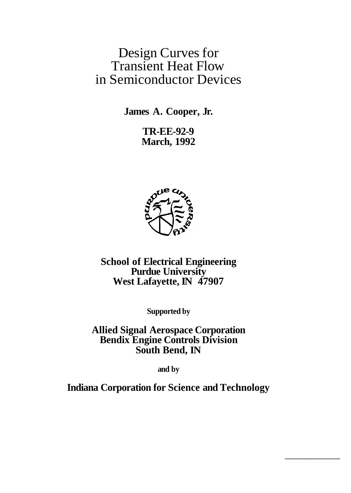# Design Curves for Transient Heat Flow in Semiconductor Devices

**James A. Cooper, Jr.** 

**TR-EE-92-9 March, 1992** 



**School of Electrical Engineering Purdue University West Lafayette, IN 47907** 

**Supported by** 

**Allied Signal Aerospace Corporation Bendix Engine Controls Division South Bend, IN** 

**and by** 

**Indiana Corporation for Science and Technology**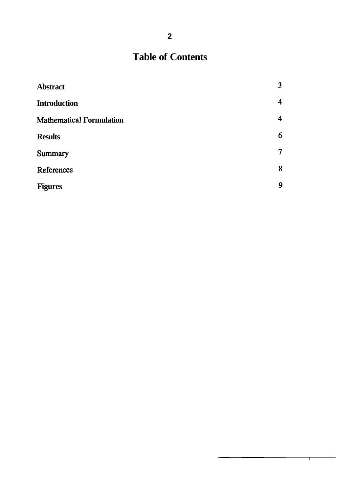## **Table of Contents**

| <b>Abstract</b>                 | 3 |
|---------------------------------|---|
| <b>Introduction</b>             | 4 |
| <b>Mathematical Formulation</b> | 4 |
| <b>Results</b>                  | 6 |
| Summary                         | 7 |
| References                      | 8 |
| <b>Figures</b>                  | 9 |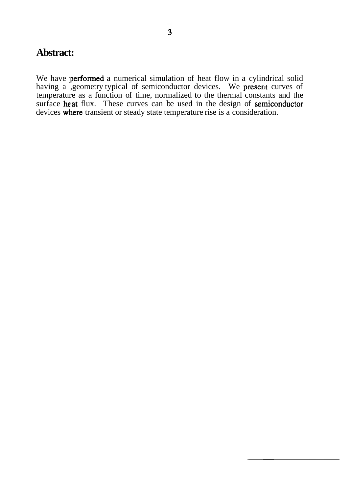### **Abstract:**

We have performed a numerical simulation of heat flow in a cylindrical solid having a ,geometry typical of semiconductor devices. We **present** curves of temperature as a function of time, normalized to the thermal constants and the surface heat flux. These curves can be used in the design of serniconductor devices where transient or steady state temperature rise is a consideration.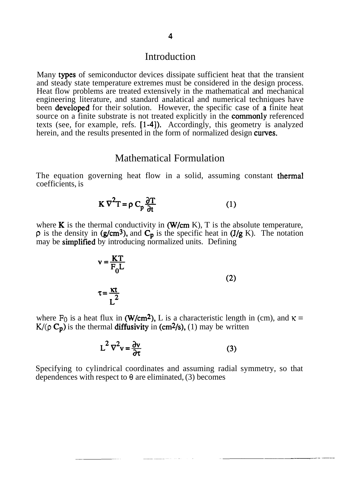#### Introduction

Many types of semiconductor devices dissipate sufficient heat that the transient and steady state temperature extremes must be considered in the design process. Heat flow problems are treated extensively in the mathematical and mechanical engineering literature, and standard analatical and numerical techniques have been developed for their solution. However, the specific case of a finite heat source on a finite substrate is not treated explicitly in the **commonly** referenced texts (see, for example, refs. [l-41). Accordingly, this geometry is analyzed herein, and the results presented in the form of normalized design curves.

#### Mathematical Formulation

The equation governing heat flow in a solid, assuming constant thermal coefficients, is

$$
K \nabla^2 T = \rho C_p \frac{\partial T}{\partial t}
$$
 (1)

where  $K$  is the thermal conductivity in  $(W/cm K)$ , T is the absolute temperature,  $\rho$  is the density in (g/cm<sup>3</sup>), and  $C_p$  is the specific heat in (J/g K). The notation may be simplified by introducing normalized units. Defining

$$
v = \frac{KT}{F_0 L}
$$
  
\n
$$
\tau = \frac{kt}{L^2}
$$
 (2)

where  $F_0$  is a heat flux in (W/cm<sup>2</sup>), L is a characteristic length in (cm), and  $\kappa =$  $K/(\rho C_p)$  is the thermal diffusivity in  $(cm^2/s)$ , (1) may be written

$$
L^2 \nabla^2 v = \frac{\partial v}{\partial \tau}
$$
 (3)

Specifying to cylindrical coordinates and assuming radial symmetry, so that dependences with respect to  $\theta$  are eliminated, (3) becomes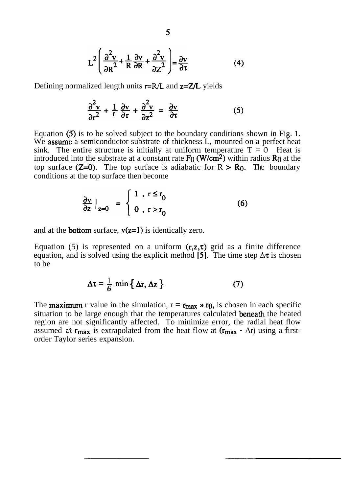$$
L^{2} \left( \frac{\partial^{2} v}{\partial R^{2}} + \frac{1}{R} \frac{\partial v}{\partial R} + \frac{\partial^{2} v}{\partial Z^{2}} \right) = \frac{\partial v}{\partial \tau}
$$
(4)

Defining normalized length units **r=R/L** and z=Z,L yields

$$
\frac{\partial^2 v}{\partial r^2} + \frac{1}{r} \frac{\partial v}{\partial r} + \frac{\partial^2 v}{\partial z^2} = \frac{\partial v}{\partial t}
$$
 (5)

Equation  $(5)$  is to be solved subject to the boundary conditions shown in Fig. 1. We **assume** a semiconductor substrate of thickness  $\overline{L}$ , mounted on a perfect heat sink. The entire structure is initially at uniform temperature  $T = 0$  Heat is introduced into the substrate at a constant rate  $F_0$  (W/cm<sup>2</sup>) within radius  $R_0$  at the top surface ( $Z=0$ ). The top surface is adiabatic for  $R > R_0$ . The boundary conditions at the top surface then become

$$
\frac{\partial v}{\partial z}\Big|_{z=0} = \begin{cases} 1, & r \le r_0 \\ 0, & r > r_0 \end{cases}
$$
 (6)

and at the **bottom** surface,  $v(z=1)$  is identically zero.

Equation (5) is represented on a uniform  $(r, z, \tau)$  grid as a finite difference equation, and is solved using the explicit method [5]. The time step  $\Delta \tau$  is chosen to be

$$
\Delta \tau = \frac{1}{6} \min \left\{ \Delta \mathbf{r}, \Delta z \right\} \tag{7}
$$

The **maximum** r value in the simulation,  $r = r_{max} \times r_0$ , is chosen in each specific situation to be large enough that the temperatures calculated **beneath** the heated region are not significantly affected. To minimize error, the radial heat flow assumed at  $r_{\text{max}}$  is extrapolated from the heat flow at  $(r_{\text{max}} - Ar)$  using a firstorder Taylor series expansion.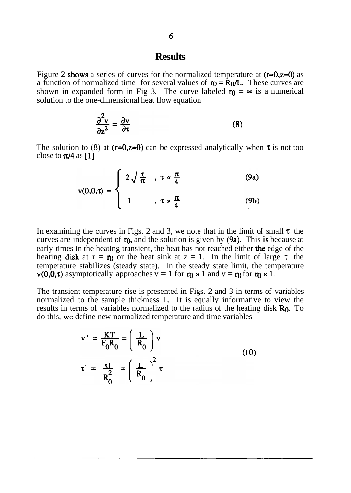#### **Results**

Figure 2 shows a series of curves for the normalized temperature at  $(r=0, z=0)$  as a function of normalized time for several values of  $\mathbf{r}_0 = \hat{\mathbf{R}}_0/\mathbf{L}$ . These curves are shown in expanded form in Fig 3. The curve labeled  $r_0 = \infty$  is a numerical solution to the one-dimensional heat flow equation

$$
\frac{\partial^2 \mathbf{v}}{\partial z^2} = \frac{\partial \mathbf{v}}{\partial \tau}
$$
 (8)

The solution to (8) at  $(r=0, z=0)$  can be expressed analytically when  $\tau$  is not too close to  $\pi/4$  as [1]

$$
v(0,0,\tau) = \begin{cases} 2\sqrt{\frac{\tau}{\pi}} , \tau \propto \frac{\pi}{4} & (9a) \\ 1 , \tau \gg \frac{\pi}{4} & (9b) \end{cases}
$$

In examining the curves in Figs. 2 and 3, we note that in the limit of small  $\tau$  the curves are independent of r<sub>0</sub>, and the solution is given by (9a). This is because at early times in the heating transient, the heat has not reached either the edge of the heating **disk** at  $r = r_0$  or the heat sink at  $z = 1$ . In the limit of large  $\tau$  the temperature stabilizes (steady state). In the steady state limit, the temperature  $v(0,0,\tau)$  asymptotically approaches  $v = 1$  for  $r_0 \gg 1$  and  $v = r_0$  for  $r_0 \ll 1$ .

The transient temperature rise is presented in Figs. 2 and 3 in terms of variables normalized to the sample thickness L. It is equally informative to view the results in terms of variables normalized to the radius of the heating disk  $R_0$ . To do this, we define new normalized temperature and time variables

$$
\mathbf{v}^{\cdot} = \frac{\mathbf{K}\mathbf{T}}{\mathbf{F}_0 \mathbf{R}_0} = \left(\frac{\mathbf{L}}{\mathbf{R}_0}\right) \mathbf{v}
$$
  

$$
\tau^{\cdot} = \frac{\mathbf{\kappa}\mathbf{t}}{\mathbf{R}_0^2} = \left(\frac{\mathbf{L}}{\mathbf{R}_0}\right)^2 \tau
$$
 (10)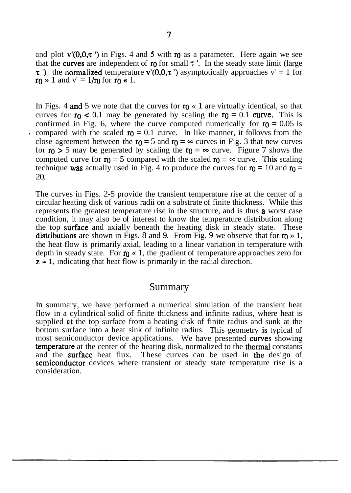and plot  $v'(0,0,\tau)$  in Figs. 4 and 5 with ro as a parameter. Here again we see that the curves are independent of  $r_0$  for small  $\tau$ . In the steady state limit (large  $\tau$ ) the normalized temperature v'(0,0, $\tau$ ) asymptotically approaches v' = 1 for  $\mathbf{r}_0 \times 1$  and  $\mathbf{v}' = 1/\mathbf{r}_0$  for  $\mathbf{r}_0 \times 1$ .

In Figs. 4 and 5 we note that the curves for  $r_0 \ll 1$  are virtually identical, so that curves for  $r_0 < 0.1$  may be generated by scaling the  $r_0 = 0.1$  curve. This is confirmed in Fig. 6, where the curve computed numerically for  $r_0 = 0.05$  is compared with the scaled  $r_0 = 0.1$  curve. In like manner, it follows from the close agreement between the  $r_0 = 5$  and  $r_0 = \infty$  curves in Fig. 3 that new curves for  $r_0 > 5$  may be generated by scaling the  $r_0 = \infty$  curve. Figure 7 shows the computed curve for  $r_0 = 5$  compared with the scaled  $r_0 = \infty$  curve. This scaling technique was actually used in Fig. 4 to produce the curves for  $r_0 = 10$  and  $r_0 =$ 20.

The curves in Figs. 2-5 provide the transient temperature rise at the center of a circular heating disk of various radii on a substrate of finite thickness. While this represents the greatest temperature rise in the structure, and is thus a worst case condition, it may also be of interest to know the temperature distribution along the top surface and axially beneath the heating disk in steady state. These **distributions** are shown in Figs. 8 and 9. From Fig. 9 we observe that for  $r_0 \gg 1$ , the heat flow is primarily axial, leading to a linear variation in temperature with depth in steady state. For  $\eta \ll 1$ , the gradient of temperature approaches zero for  $z \approx 1$ , indicating that heat flow is primarily in the radial direction.

#### Summary

In summary, we have performed a numerical simulation of the transient heat flow in a cylindrical solid of finite thickness and infinite radius, where heat is supplied at the top surface from a heating disk of finite radius and sunk at the bottom surface into a heat sink of infinite radius. This geometry is typical of most semiconductor device applications. We have presented **curves** showing temperature at the center of the heating disk, normalized to the thermal constants and the surface heat flux. These curves can be used in the design of semiconductor devices where transient or steady state temperature rise is a consideration.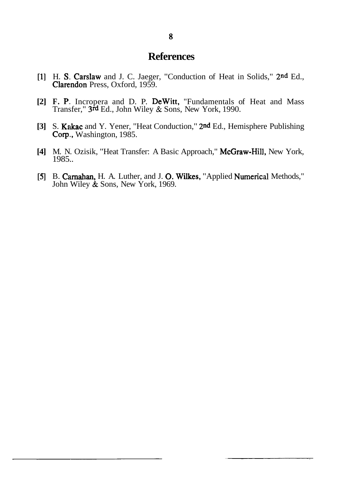### **References**

- [I] H. S., Carslaw and J. C. Jaeger, "Conduction of Heat in Solids," **2nd** Ed., Clarendon Press, Oxford, 1959.
- **[2] F.** P., Incropera and D. P. DeWitt, "Fundamentals of Heat and Mass Transfer," **3rd** Ed., John Wiley & Sons, New York, 1990.
- [3] S. Kakac and Y. Yener, "Heat Conduction," 2<sup>nd</sup> Ed., Hemisphere Publishing Corp,, Washington, 1985.
- **[4]** M. N. Ozisik, "Heat Transfer: A Basic Approach," McGraw-Hill, New York, 1985..
- [5] B. Carnahan, H. A. Luther, and J. O. Wilkes, "Applied Numerical Methods," John Wiley & Sons, New York, 1969.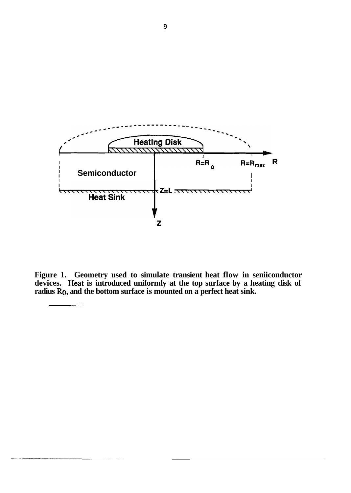

**Figure 1. Geometry used to simulate transient heat flow in seniiconductor devices. Heat is introduced uniformly at the top surface by a heating disk of radius Ro, and the bottom surface is mounted on a perfect heat sink.**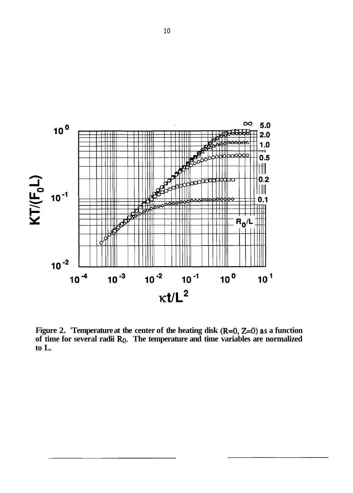

**Figure 2. 'Temperature at the center of the heating disk (R=0, Z=0) as a function** of time for several radii R<sub>0</sub>. The temperature and time variables are normalized **to L.**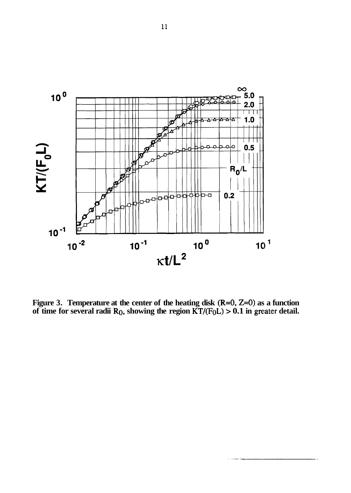

**Figure 3. Temperature at the center of the heating disk (R=O, Z=0) as a function**  of time for several radii  $R_0$ , showing the region  $\text{KT}/(\text{F}_0\text{L}) > 0.1$  in greater detail.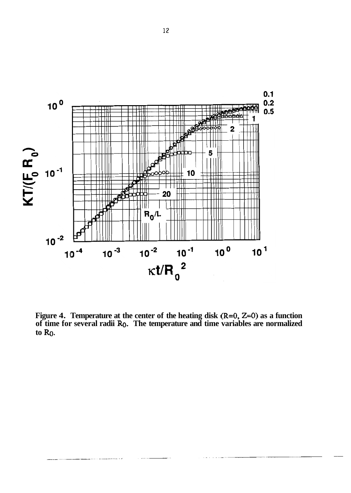

**Figure 4. Temperature at the center of the heating disk (R=O,** *Z=0)* **as a function of time for several radii** Ro. **The temperature and time variables are normalized to Ro.**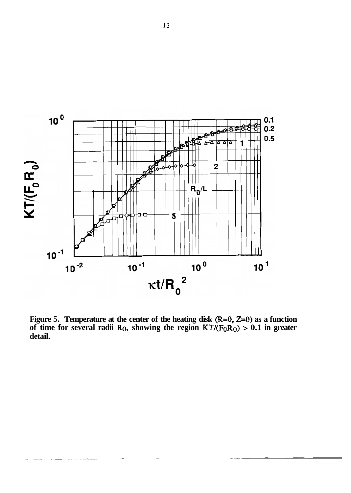

**Figure 5. Temperature at the center of the heating disk (R=O, Z=0) as a function**  of time for several radii  $R_0$ , showing the region  $KT/(F_0R_0) > 0.1$  in greater **detail.**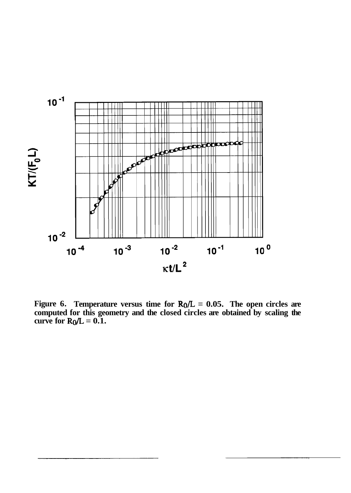

**Figure 6.** Temperature versus time for  $R_0/L = 0.05$ . The open circles are **computed for this geometry and the closed circles are obtained by scaling the curve for**  $R_0/L = 0.1$ **.**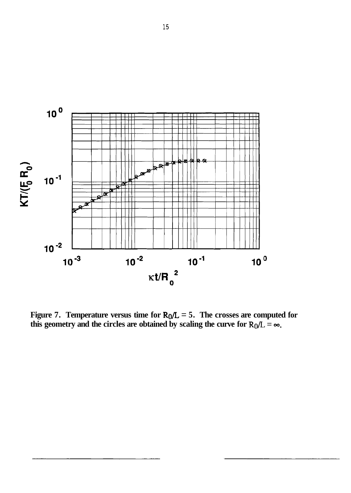

Figure 7. Temperature versus time for  $R_0/L = 5$ . The crosses are computed for this geometry and the circles are obtained by scaling the curve for  $R_0/L = \infty$ .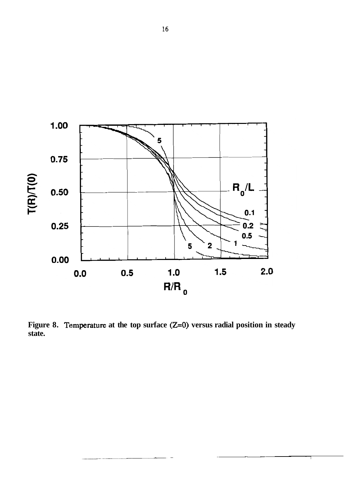

Figure 8. Temperature at the top surface  $(Z=0)$  versus radial position in steady **state.**